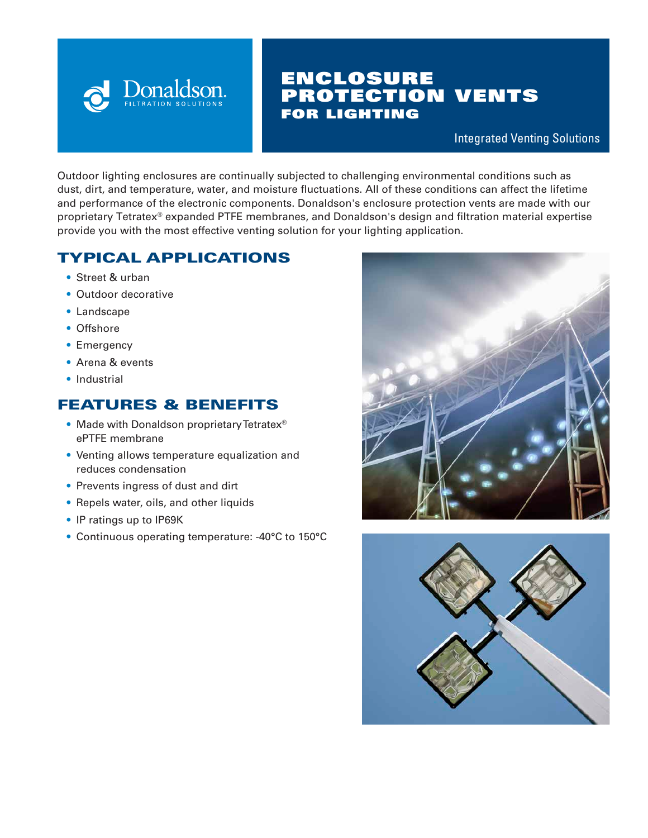

# ENCLOSURE PROTECTION VENTS FOR LIGHTING

Integrated Venting Solutions

Outdoor lighting enclosures are continually subjected to challenging environmental conditions such as dust, dirt, and temperature, water, and moisture fluctuations. All of these conditions can affect the lifetime and performance of the electronic components. Donaldson's enclosure protection vents are made with our proprietary Tetratex® expanded PTFE membranes, and Donaldson's design and filtration material expertise provide you with the most effective venting solution for your lighting application.

# TYPICAL APPLICATIONS

- Street & urban
- Outdoor decorative
- Landscape
- Offshore
- Emergency
- Arena & events
- Industrial

## FEATURES & BENEFITS

- Made with Donaldson proprietary Tetratex® ePTFE membrane
- Venting allows temperature equalization and reduces condensation
- Prevents ingress of dust and dirt
- Repels water, oils, and other liquids
- IP ratings up to IP69K
- Continuous operating temperature: -40°C to 150°C